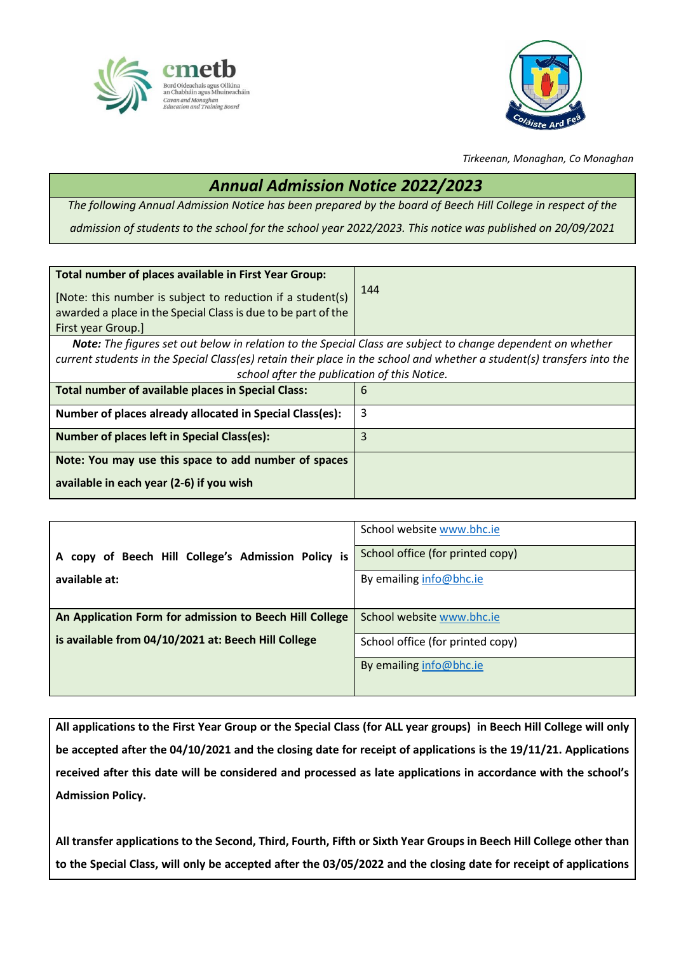



*Tirkeenan, Monaghan, Co Monaghan*

## *Annual Admission Notice 2022/2023*

*The following Annual Admission Notice has been prepared by the board of Beech Hill College in respect of the admission of students to the school for the school year 2022/2023. This notice was published on 20/09/2021*

| Total number of places available in First Year Group:                                                                  |     |
|------------------------------------------------------------------------------------------------------------------------|-----|
| [Note: this number is subject to reduction if a student(s)                                                             | 144 |
|                                                                                                                        |     |
| awarded a place in the Special Class is due to be part of the                                                          |     |
| First year Group.                                                                                                      |     |
| <b>Note:</b> The figures set out below in relation to the Special Class are subject to change dependent on whether     |     |
| current students in the Special Class(es) retain their place in the school and whether a student(s) transfers into the |     |
| school after the publication of this Notice.                                                                           |     |
| Total number of available places in Special Class:                                                                     | 6   |
| Number of places already allocated in Special Class(es):                                                               | 3   |
| <b>Number of places left in Special Class(es):</b>                                                                     | 3   |
| Note: You may use this space to add number of spaces                                                                   |     |
| available in each year (2-6) if you wish                                                                               |     |

|                                                                  | School website www.bhc.ie        |
|------------------------------------------------------------------|----------------------------------|
| copy of Beech Hill College's Admission Policy is<br>$\mathsf{A}$ | School office (for printed copy) |
| available at:                                                    | By emailing info@bhc.ie          |
|                                                                  |                                  |
| An Application Form for admission to Beech Hill College          | School website www.bhc.ie        |
| is available from 04/10/2021 at: Beech Hill College              | School office (for printed copy) |
|                                                                  | By emailing info@bhc.ie          |
|                                                                  |                                  |

**All applications to the First Year Group or the Special Class (for ALL year groups) in Beech Hill College will only be accepted after the 04/10/2021 and the closing date for receipt of applications is the 19/11/21. Applications received after this date will be considered and processed as late applications in accordance with the school's Admission Policy.**

**All transfer applications to the Second, Third, Fourth, Fifth or Sixth Year Groups in Beech Hill College other than to the Special Class, will only be accepted after the 03/05/2022 and the closing date for receipt of applications**